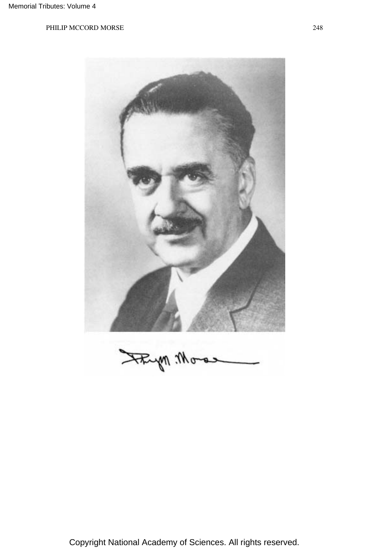

Copyright National Academy of Sciences. All rights reserved.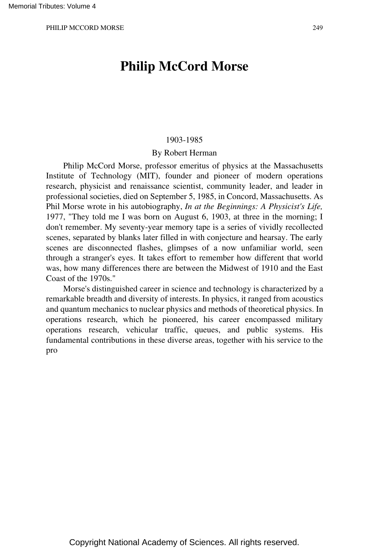# **Philip McCord Morse**

#### 1903-1985

#### By Robert Herman

Philip McCord Morse, professor emeritus of physics at the Massachusetts Institute of Technology (MIT), founder and pioneer of modern operations research, physicist and renaissance scientist, community leader, and leader in professional societies, died on September 5, 1985, in Concord, Massachusetts. As Phil Morse wrote in his autobiography, *In at the Beginnings: A Physicist's Life,* 1977, "They told me I was born on August 6, 1903, at three in the morning; I don't remember. My seventy-year memory tape is a series of vividly recollected scenes, separated by blanks later filled in with conjecture and hearsay. The early scenes are disconnected flashes, glimpses of a now unfamiliar world, seen through a stranger's eyes. It takes effort to remember how different that world was, how many differences there are between the Midwest of 1910 and the East Coast of the 1970s."

Morse's distinguished career in science and technology is characterized by a remarkable breadth and diversity of interests. In physics, it ranged from acoustics and quantum mechanics to nuclear physics and methods of theoretical physics. In operations research, which he pioneered, his career encompassed military operations research, vehicular traffic, queues, and public systems. His fundamental contributions in these diverse areas, together with his service to the pro

Copyright National Academy of Sciences. All rights reserved.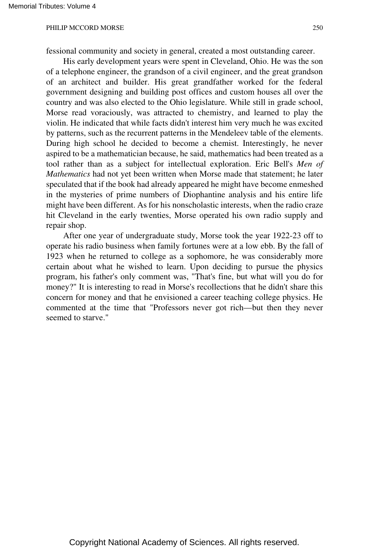His early development years were spent in Cleveland, Ohio. He was the son of a telephone engineer, the grandson of a civil engineer, and the great grandson of an architect and builder. His great grandfather worked for the federal government designing and building post offices and custom houses all over the country and was also elected to the Ohio legislature. While still in grade school, Morse read voraciously, was attracted to chemistry, and learned to play the violin. He indicated that while facts didn't interest him very much he was excited by patterns, such as the recurrent patterns in the Mendeleev table of the elements. During high school he decided to become a chemist. Interestingly, he never aspired to be a mathematician because, he said, mathematics had been treated as a tool rather than as a subject for intellectual exploration. Eric Bell's *Men of Mathematics* had not yet been written when Morse made that statement; he later speculated that if the book had already appeared he might have become enmeshed in the mysteries of prime numbers of Diophantine analysis and his entire life might have been different. As for his nonscholastic interests, when the radio craze hit Cleveland in the early twenties, Morse operated his own radio supply and repair shop.

After one year of undergraduate study, Morse took the year 1922-23 off to operate his radio business when family fortunes were at a low ebb. By the fall of 1923 when he returned to college as a sophomore, he was considerably more certain about what he wished to learn. Upon deciding to pursue the physics program, his father's only comment was, "That's fine, but what will you do for money?" It is interesting to read in Morse's recollections that he didn't share this concern for money and that he envisioned a career teaching college physics. He commented at the time that "Professors never got rich—but then they never seemed to starve."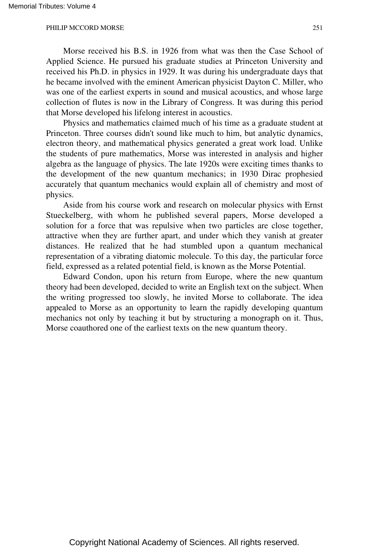Morse received his B.S. in 1926 from what was then the Case School of Applied Science. He pursued his graduate studies at Princeton University and received his Ph.D. in physics in 1929. It was during his undergraduate days that he became involved with the eminent American physicist Dayton C. Miller, who was one of the earliest experts in sound and musical acoustics, and whose large collection of flutes is now in the Library of Congress. It was during this period that Morse developed his lifelong interest in acoustics.

Physics and mathematics claimed much of his time as a graduate student at Princeton. Three courses didn't sound like much to him, but analytic dynamics, electron theory, and mathematical physics generated a great work load. Unlike the students of pure mathematics, Morse was interested in analysis and higher algebra as the language of physics. The late 1920s were exciting times thanks to the development of the new quantum mechanics; in 1930 Dirac prophesied accurately that quantum mechanics would explain all of chemistry and most of physics.

Aside from his course work and research on molecular physics with Ernst Stueckelberg, with whom he published several papers, Morse developed a solution for a force that was repulsive when two particles are close together, attractive when they are further apart, and under which they vanish at greater distances. He realized that he had stumbled upon a quantum mechanical representation of a vibrating diatomic molecule. To this day, the particular force field, expressed as a related potential field, is known as the Morse Potential.

Edward Condon, upon his return from Europe, where the new quantum theory had been developed, decided to write an English text on the subject. When the writing progressed too slowly, he invited Morse to collaborate. The idea appealed to Morse as an opportunity to learn the rapidly developing quantum mechanics not only by teaching it but by structuring a monograph on it. Thus, Morse coauthored one of the earliest texts on the new quantum theory.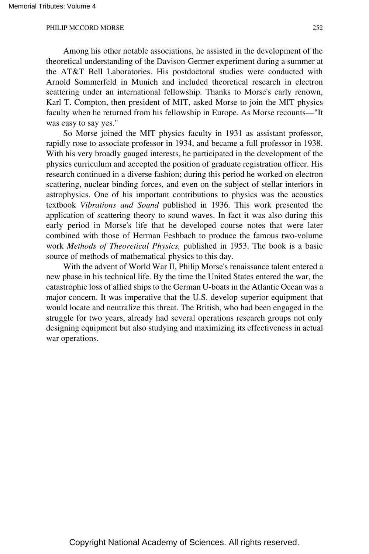Among his other notable associations, he assisted in the development of the theoretical understanding of the Davison-Germer experiment during a summer at the AT&T Bell Laboratories. His postdoctoral studies were conducted with Arnold Sommerfeld in Munich and included theoretical research in electron scattering under an international fellowship. Thanks to Morse's early renown, Karl T. Compton, then president of MIT, asked Morse to join the MIT physics faculty when he returned from his fellowship in Europe. As Morse recounts—"It was easy to say yes."

So Morse joined the MIT physics faculty in 1931 as assistant professor, rapidly rose to associate professor in 1934, and became a full professor in 1938. With his very broadly gauged interests, he participated in the development of the physics curriculum and accepted the position of graduate registration officer. His research continued in a diverse fashion; during this period he worked on electron scattering, nuclear binding forces, and even on the subject of stellar interiors in astrophysics. One of his important contributions to physics was the acoustics textbook *Vibrations and Sound* published in 1936. This work presented the application of scattering theory to sound waves. In fact it was also during this early period in Morse's life that he developed course notes that were later combined with those of Herman Feshbach to produce the famous two-volume work *Methods of Theoretical Physics,* published in 1953. The book is a basic source of methods of mathematical physics to this day.

With the advent of World War II, Philip Morse's renaissance talent entered a new phase in his technical life. By the time the United States entered the war, the catastrophic loss of allied ships to the German U-boats in the Atlantic Ocean was a major concern. It was imperative that the U.S. develop superior equipment that would locate and neutralize this threat. The British, who had been engaged in the struggle for two years, already had several operations research groups not only designing equipment but also studying and maximizing its effectiveness in actual war operations.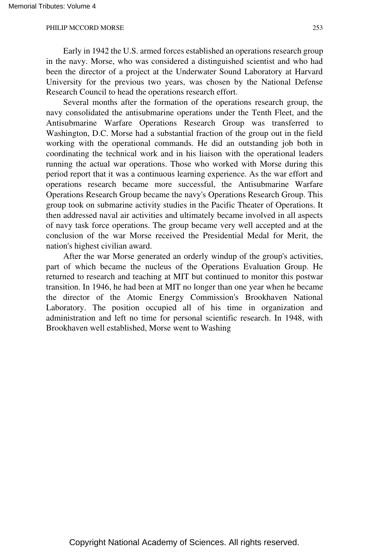Early in 1942 the U.S. armed forces established an operations research group in the navy. Morse, who was considered a distinguished scientist and who had been the director of a project at the Underwater Sound Laboratory at Harvard University for the previous two years, was chosen by the National Defense Research Council to head the operations research effort.

Several months after the formation of the operations research group, the navy consolidated the antisubmarine operations under the Tenth Fleet, and the Antisubmarine Warfare Operations Research Group was transferred to Washington, D.C. Morse had a substantial fraction of the group out in the field working with the operational commands. He did an outstanding job both in coordinating the technical work and in his liaison with the operational leaders running the actual war operations. Those who worked with Morse during this period report that it was a continuous learning experience. As the war effort and operations research became more successful, the Antisubmarine Warfare Operations Research Group became the navy's Operations Research Group. This group took on submarine activity studies in the Pacific Theater of Operations. It then addressed naval air activities and ultimately became involved in all aspects of navy task force operations. The group became very well accepted and at the conclusion of the war Morse received the Presidential Medal for Merit, the nation's highest civilian award.

After the war Morse generated an orderly windup of the group's activities, part of which became the nucleus of the Operations Evaluation Group. He returned to research and teaching at MIT but continued to monitor this postwar transition. In 1946, he had been at MIT no longer than one year when he became the director of the Atomic Energy Commission's Brookhaven National Laboratory. The position occupied all of his time in organization and administration and left no time for personal scientific research. In 1948, with Brookhaven well established, Morse went to Washing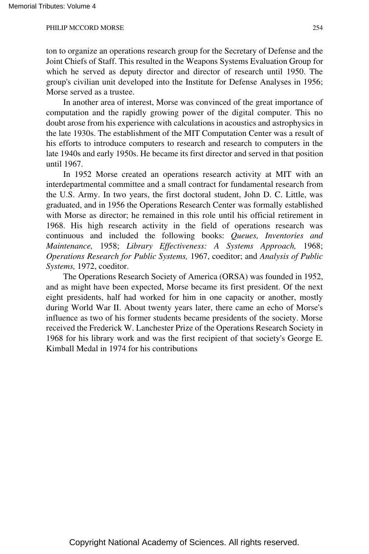ton to organize an operations research group for the Secretary of Defense and the Joint Chiefs of Staff. This resulted in the Weapons Systems Evaluation Group for which he served as deputy director and director of research until 1950. The group's civilian unit developed into the Institute for Defense Analyses in 1956; Morse served as a trustee.

In another area of interest, Morse was convinced of the great importance of computation and the rapidly growing power of the digital computer. This no doubt arose from his experience with calculations in acoustics and astrophysics in the late 1930s. The establishment of the MIT Computation Center was a result of his efforts to introduce computers to research and research to computers in the late 1940s and early 1950s. He became its first director and served in that position until 1967.

In 1952 Morse created an operations research activity at MIT with an interdepartmental committee and a small contract for fundamental research from the U.S. Army. In two years, the first doctoral student, John D. C. Little, was graduated, and in 1956 the Operations Research Center was formally established with Morse as director; he remained in this role until his official retirement in 1968. His high research activity in the field of operations research was continuous and included the following books: *Queues, Inventories and Maintenance,* 1958; *Library Effectiveness: A Systems Approach,* 1968; *Operations Research for Public Systems,* 1967, coeditor; and *Analysis of Public Systems,* 1972, coeditor.

The Operations Research Society of America (ORSA) was founded in 1952, and as might have been expected, Morse became its first president. Of the next eight presidents, half had worked for him in one capacity or another, mostly during World War II. About twenty years later, there came an echo of Morse's influence as two of his former students became presidents of the society. Morse received the Frederick W. Lanchester Prize of the Operations Research Society in 1968 for his library work and was the first recipient of that society's George E. Kimball Medal in 1974 for his contributions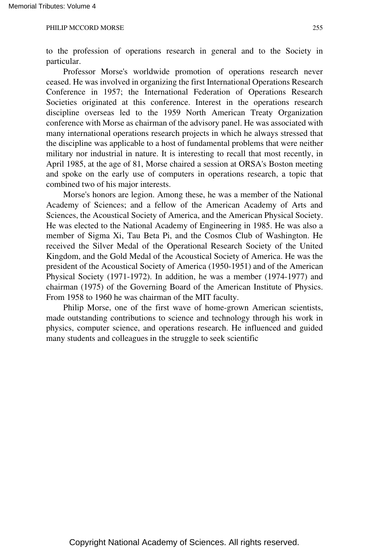to the profession of operations research in general and to the Society in particular.

Professor Morse's worldwide promotion of operations research never ceased. He was involved in organizing the first International Operations Research Conference in 1957; the International Federation of Operations Research Societies originated at this conference. Interest in the operations research discipline overseas led to the 1959 North American Treaty Organization conference with Morse as chairman of the advisory panel. He was associated with many international operations research projects in which he always stressed that the discipline was applicable to a host of fundamental problems that were neither military nor industrial in nature. It is interesting to recall that most recently, in April 1985, at the age of 81, Morse chaired a session at ORSA's Boston meeting and spoke on the early use of computers in operations research, a topic that combined two of his major interests.

Morse's honors are legion. Among these, he was a member of the National Academy of Sciences; and a fellow of the American Academy of Arts and Sciences, the Acoustical Society of America, and the American Physical Society. He was elected to the National Academy of Engineering in 1985. He was also a member of Sigma Xi, Tau Beta Pi, and the Cosmos Club of Washington. He received the Silver Medal of the Operational Research Society of the United Kingdom, and the Gold Medal of the Acoustical Society of America. He was the president of the Acoustical Society of America (1950-1951) and of the American Physical Society (1971-1972). In addition, he was a member (1974-1977) and chairman (1975) of the Governing Board of the American Institute of Physics. From 1958 to 1960 he was chairman of the MIT faculty.

Philip Morse, one of the first wave of home-grown American scientists, made outstanding contributions to science and technology through his work in physics, computer science, and operations research. He influenced and guided many students and colleagues in the struggle to seek scientific